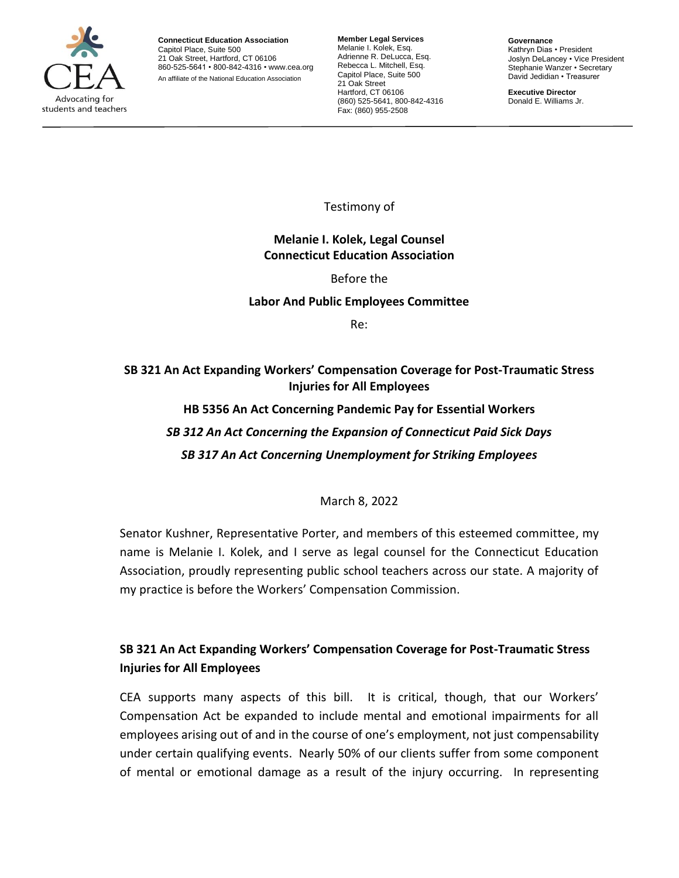

**Connecticut Education Association** Capitol Place, Suite 500 21 Oak Street, Hartford, CT 06106 860-525-5641 • 800-842-4316 • [www.cea.org](http://www.cea.org/) An affiliate of the National Education Association

**Member Legal Services** Melanie I. Kolek, Esq. Adrienne R. DeLucca, Esq. Rebecca L. Mitchell, Esq. Capitol Place, Suite 500 21 Oak Street Hartford, CT 06106 (860) 525-5641, 800-842-4316 Fax: (860) 955-2508

**Governance** Kathryn Dias • President Joslyn DeLancey • Vice President Stephanie Wanzer • Secretary David Jedidian • Treasurer

**Executive Director** Donald E. Williams Jr.

Testimony of

### **Melanie I. Kolek, Legal Counsel Connecticut Education Association**

Before the

### **Labor And Public Employees Committee**

Re:

# **SB 321 An Act Expanding Workers' Compensation Coverage for Post-Traumatic Stress Injuries for All Employees**

**HB 5356 An Act Concerning Pandemic Pay for Essential Workers** *SB 312 An Act Concerning the Expansion of Connecticut Paid Sick Days SB 317 An Act Concerning Unemployment for Striking Employees*

March 8, 2022

Senator Kushner, Representative Porter, and members of this esteemed committee, my name is Melanie I. Kolek, and I serve as legal counsel for the Connecticut Education Association, proudly representing public school teachers across our state. A majority of my practice is before the Workers' Compensation Commission.

## **SB 321 An Act Expanding Workers' Compensation Coverage for Post-Traumatic Stress Injuries for All Employees**

CEA supports many aspects of this bill. It is critical, though, that our Workers' Compensation Act be expanded to include mental and emotional impairments for all employees arising out of and in the course of one's employment, not just compensability under certain qualifying events. Nearly 50% of our clients suffer from some component of mental or emotional damage as a result of the injury occurring. In representing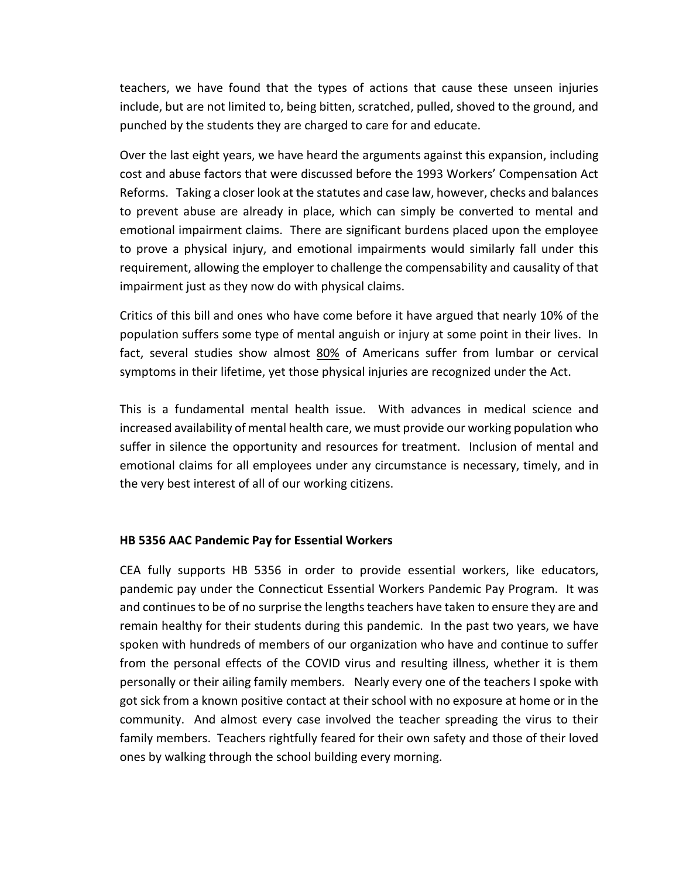teachers, we have found that the types of actions that cause these unseen injuries include, but are not limited to, being bitten, scratched, pulled, shoved to the ground, and punched by the students they are charged to care for and educate.

Over the last eight years, we have heard the arguments against this expansion, including cost and abuse factors that were discussed before the 1993 Workers' Compensation Act Reforms. Taking a closer look at the statutes and case law, however, checks and balances to prevent abuse are already in place, which can simply be converted to mental and emotional impairment claims. There are significant burdens placed upon the employee to prove a physical injury, and emotional impairments would similarly fall under this requirement, allowing the employer to challenge the compensability and causality of that impairment just as they now do with physical claims.

Critics of this bill and ones who have come before it have argued that nearly 10% of the population suffers some type of mental anguish or injury at some point in their lives. In fact, several studies show almost 80% of Americans suffer from lumbar or cervical symptoms in their lifetime, yet those physical injuries are recognized under the Act.

This is a fundamental mental health issue. With advances in medical science and increased availability of mental health care, we must provide our working population who suffer in silence the opportunity and resources for treatment. Inclusion of mental and emotional claims for all employees under any circumstance is necessary, timely, and in the very best interest of all of our working citizens.

#### **HB 5356 AAC Pandemic Pay for Essential Workers**

CEA fully supports HB 5356 in order to provide essential workers, like educators, pandemic pay under the Connecticut Essential Workers Pandemic Pay Program. It was and continues to be of no surprise the lengths teachers have taken to ensure they are and remain healthy for their students during this pandemic. In the past two years, we have spoken with hundreds of members of our organization who have and continue to suffer from the personal effects of the COVID virus and resulting illness, whether it is them personally or their ailing family members. Nearly every one of the teachers I spoke with got sick from a known positive contact at their school with no exposure at home or in the community. And almost every case involved the teacher spreading the virus to their family members. Teachers rightfully feared for their own safety and those of their loved ones by walking through the school building every morning.